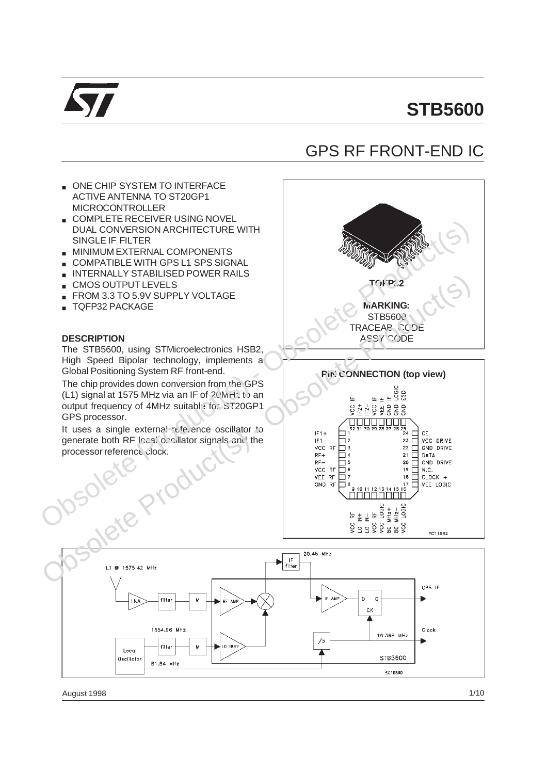

# **STB5600**

## GPS RF FRONT-END IC

CK

 $/5$ 

16.368 MHz

STB5600

5010890

ONE CHIP SYSTEM TO INTERFACE ACTIVE ANTENNA TO ST20GP1 MICROCONTROLLER ■ COMPLETE RECEIVER USING NOVEL Obsolete Prince Content and the Content and the Content and the Content and the Content and the Content and the Content and the Content and the Content and the Content and the Content and the Content and the Content and t DUAL CONVERSION ARCHITECTURE WITH SINGLE IF FILTER ■ MINIMUM EXTERNAL COMPONENTS COMPATIBLE WITH GPS L1 SPS SIGNAL **INTERNALLY STABILISED POWER RAILS** TRIVERYSIALT STADLIGION (S) - Obsolete Production Control Control Control Control Control Control Control Control Control Control Control Control Control Control Control Control Control Control Control Control Control Con **TQFP32** CMOS OUTPUT LEVELS FROM 3.3 TO 5.9V SUPPLY VOLTAGE **MARKING:** ■ TQFP32 PACKAGE **STB5600** TRACEAB. CODE **DESCRIPTION** ASSY CODE The STB5600, using STMicroelectronics HSB2, High Speed Bipolar technology, implements a Global Positioning System RF front-end. **Pin CONNECTION (top view)** The chip provides down conversion from the GPS (L1) signal at 1575 MHz via an IF of  $20$  MHz to an output frequency of 4MHz suitable for ST20GP1 GPS processor. It uses a single external reference oscillator to generate both RF local oscillator signals and the processor reference clock. D  $\circ$ filte LNA M

1554.96 MHz

filter

81.84 MHz

Local

Oscillato

M

LO BUF

Clock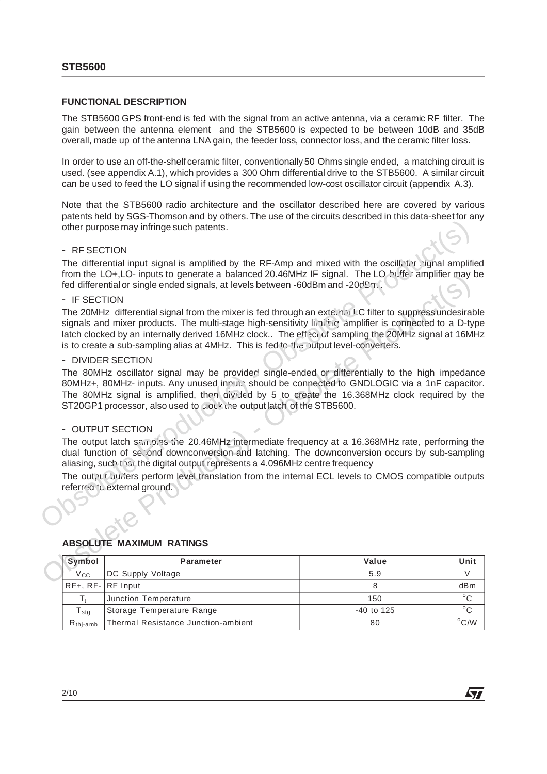#### **FUNCTIONAL DESCRIPTION**

The STB5600 GPS front-end is fed with the signal from an active antenna, via a ceramic RF filter. The gain between the antenna element and the STB5600 is expected to be between 10dB and 35dB overall, made up of the antenna LNA gain, the feeder loss, connector loss, and the ceramic filter loss.

In order to use an off-the-shelf ceramic filter, conventionally 50 Ohms single ended, a matching circuit is used. (see appendix A.1), which provides a 300 Ohm differential drive to the STB5600. A similar circuit can be used to feed the LO signal if using the recommended low-cost oscillator circuit (appendix A.3).

Note that the STB5600 radio architecture and the oscillator described here are covered by various patents held by SGS-Thomson and by others. The use of the circuits described in this data-sheet for any other purpose may infringe such patents.

#### - RF SECTION

The differential input signal is amplified by the RF-Amp and mixed with the oscillator signal amplified from the LO+,LO- inputs to generate a balanced 20.46MHz IF signal. The LO buffer amplifier may be fed differential or single ended signals, at levels between -60dBm and -20dBm.

#### - IF SECTION

The must Co-rigular to generate a barance of JA aware The signal. The USE CO-rigular terms of the USE CONSTRICT The 2000 MHz differential signal from the mixer is fed through an extendal C filter to suppressiondesirable p The 20MHz differential signal from the mixer is fed through an external LC filter to suppress undesirable signals and mixer products. The multi-stage high-sensitivity limiting amplifier is connected to a D-type latch clocked by an internally derived 16MHz clock.. The effect of sampling the 20MHz signal at 16MHz is to create a sub-sampling alias at 4MHz. This is fed to the putput level-converters. other purpose may infringe such patents.<br>
The differential input signal is amplified by the RF-Amp and mixed with the oscill-ter signal amplification the LO+LO-inputs to generate a balanced 20.46MHz iF signal. The LO buffe

#### - DIVIDER SECTION

The 80MHz oscillator signal may be provided single-ended or differentially to the high impedance 80MHz+, 80MHz- inputs. Any unused inputs should be connected to GNDLOGIC via a 1nF capacitor. The 80MHz signal is amplified, then divided by 5 to create the 16.368MHz clock required by the ST20GP1 processor, also used to clock the output latch of the STB5600.

## - OUTPUT SECTION

The output latch samples the 20.46MHz intermediate frequency at a 16.368MHz rate, performing the dual function of second downconversion and latching. The downconversion occurs by sub-sampling aliasing, such that the digital output represents a 4.096MHz centre frequency

The output buffers perform level translation from the internal ECL levels to CMOS compatible outputs referred 'c external ground.

#### **ABSOLUTE MAXIMUM RATINGS**

| Symbol                                     | <b>Parameter</b>                    | Value        | Unit           |
|--------------------------------------------|-------------------------------------|--------------|----------------|
| <b>V<sub>cc</sub></b><br>DC Supply Voltage |                                     | 5.9          |                |
| $RF+, RF-$ RF Input                        |                                     |              | dBm            |
|                                            | Junction Temperature                | 150          | $^{\circ}$ C   |
| ${\mathsf T}_{\textsf{sta}}$               | Storage Temperature Range           | $-40$ to 125 | $^{\circ}$ C   |
| $R_{\text{thi-amb}}$                       | Thermal Resistance Junction-ambient | 80           | $^{\circ}$ C/W |

**AV**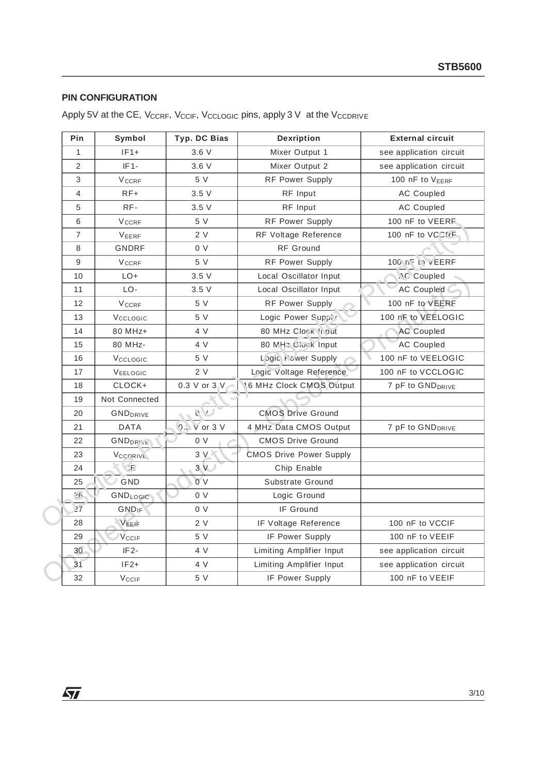## **PIN CONFIGURATION**

| Pin            | Symbol                                 | Typ. DC Bias | Dexription                     | <b>External circuit</b>      |
|----------------|----------------------------------------|--------------|--------------------------------|------------------------------|
| $\mathbf{1}$   | $IF1+$                                 | 3.6V         | Mixer Output 1                 | see application circuit      |
| $\sqrt{2}$     | $IF1-$                                 | 3.6V         | Mixer Output 2                 | see application circuit      |
| 3              | <b>V<sub>CCRF</sub></b>                | 5 V          | <b>RF Power Supply</b>         | 100 nF to VEERF              |
| 4              | $RF+$                                  | 3.5V         | RF Input                       | <b>AC Coupled</b>            |
| 5              | RF-                                    | 3.5V         | RF Input                       | <b>AC Coupled</b>            |
| 6              | <b>VCCRF</b>                           | 5 V          | <b>RF Power Supply</b>         | 100 nF to VEERF              |
| $\overline{7}$ | VEERF                                  | 2 V          | RF Voltage Reference           | 100 nF to VCCF               |
| 8              | <b>GNDRF</b>                           | 0 V          | RF Ground                      |                              |
| 9              | <b>VCCRF</b>                           | 5 V          | <b>RF Power Supply</b>         | 100 nF th VEERF              |
| 10             | LO+                                    | 3.5V         | Local Oscillator Input         | <b>NC</b> Coupled            |
| 11             | LO-                                    | 3.5V         | Local Oscillator Input         | <b>AC Coupled</b>            |
| 12             | <b>V<sub>CCRF</sub></b>                | 5V           | <b>RF Power Supply</b>         | 100 nF to VEERF              |
| 13             | Vcclosic                               | 5 V          | Logic Power Supply             | 100 nF to VEELOGIC           |
| 14             | 80 MHz+                                | 4 V          | 80 MHz Clork Input             | <b>AC Coupled</b>            |
| 15             | 80 MHz-                                | 4 V          | 80 MHz Clock Input             | <b>AC Coupled</b>            |
| 16             | Vcclosic                               | 5 V          | Logic Fower Supply             | 100 nF to VEELOGIC           |
| 17             | VEELOGIC                               | 2V           | Logic Voltage Reference        | 100 nF to VCCLOGIC           |
| 18             | CLOCK+                                 | 0.3 V or 3 V | 16 MHz Clock CMOS Output       | 7 pF to GND <sub>DRIVE</sub> |
| 19             | Not Connected                          |              |                                |                              |
| 20             | <b>GND</b> <sub>DRIVE</sub>            | $\cup$       | <b>CMOS Drive Ground</b>       |                              |
| 21             | <b>DATA</b>                            | 0.: v or 3 V | 4 MHz Data CMOS Output         | 7 pF to GND <sub>DRIVE</sub> |
| 22             | <b>GNDDRIVE</b>                        | 0 V          | <b>CMOS Drive Ground</b>       |                              |
| 23             | VCCDRIVE                               | 3V           | <b>CMOS Drive Power Supply</b> |                              |
| 24             | $\langle \mathbf{f} \mathbf{F}\rangle$ | 3V           | Chip Enable                    |                              |
| 25             | GND                                    | 0V           | Substrate Ground               |                              |
| $26^{\circ}$   | GNDLOGIC                               | 0 V          | Logic Ground                   |                              |
| 27             | <b>GND<sub>IF</sub></b>                | 0 V          | IF Ground                      |                              |
| 28             | VEEIF                                  | 2 V          | IF Voltage Reference           | 100 nF to VCCIF              |
| 29             | <b>V<sub>CCIF</sub></b>                | 5 V          | IF Power Supply                | 100 nF to VEEIF              |
| 30             | IF <sub>2</sub> -                      | 4 V          | Limiting Amplifier Input       | see application circuit      |
| 31             | $IF2+$                                 | 4 V          | Limiting Amplifier Input       | see application circuit      |
| 32             | <b>V<sub>CCIF</sub></b>                | 5 V          | IF Power Supply                | 100 nF to VEEIF              |

<u> 1989 - Johann Barn, mars eta bainar eta idazlea (</u>

Apply 5V at the CE, VccRF, VccIF, VccLoGIc pins, apply 3 V at the VccDRIVE

 $\sqrt{2}$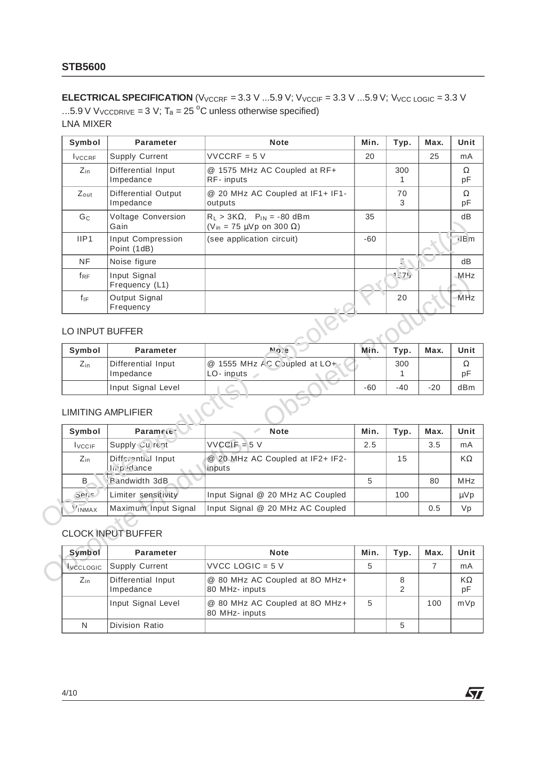**ELECTRICAL SPECIFICATION** ( $V_{VCCRF}$  = 3.3 V ...5.9 V;  $V_{VCCIF}$  = 3.3 V ...5.9 V;  $V_{VCC\text{LOGIC}}$  = 3.3 V ...5.9 V VvccpRIVE = 3 V;  $T_a = 25$  °C unless otherwise specified)

LNA MIXER

| Symbol           | <b>Parameter</b>                              | <b>Note</b>                                                                      | Min.  | Typ.                | Max.  |
|------------------|-----------------------------------------------|----------------------------------------------------------------------------------|-------|---------------------|-------|
| <b>I</b> VCCRF   | Supply Current                                | $VVCCRF = 5 V$                                                                   | 20    |                     | 25    |
| $Z_{\rm in}$     | Differential Input<br>Impedance               | @ 1575 MHz AC Coupled at RF+<br>RF-inputs                                        |       | 300<br>$\mathbf{1}$ |       |
| $Z_{\text{out}}$ | Differential Output<br>Impedance              | @ 20 MHz AC Coupled at IF1+ IF1-<br>outputs                                      |       | 70<br>3             |       |
| G <sub>C</sub>   | Voltage Conversion<br>Gain                    | $R_L > 3K\Omega$ , $P_{IN} = -80$ dBm<br>$(V_{in} = 75 \mu Vp$ on 300 $\Omega$ ) | 35    |                     |       |
| IIP1             | Input Compression<br>Point (1dB)              | (see application circuit)                                                        | $-60$ |                     |       |
| <b>NF</b>        | Noise figure                                  |                                                                                  |       | 5 ه                 |       |
| $f_{RF}$         | Input Signal<br>Frequency (L1)                |                                                                                  |       | 1575                |       |
| $f_{IF}$         |                                               |                                                                                  |       | 20                  |       |
|                  | Output Signal<br>Frequency<br>LO INPUT BUFFER |                                                                                  |       |                     |       |
|                  |                                               |                                                                                  |       |                     |       |
| Symbol           | <b>Parameter</b>                              | <b>Alova</b>                                                                     | Min.  | Typ.                | Max.  |
| $Z_{in}$         | Differential Input<br>Impedance               | @ 1555 MHz AC C supled at LO+<br>$LO-$ inputs                                    |       | 300<br>$\mathbf{1}$ |       |
|                  | Input Signal Level                            |                                                                                  | $-60$ | $-40$               | $-20$ |
|                  | <b>LIMITING AMPLIFIER</b>                     |                                                                                  |       |                     |       |
| Symbol           | Paramete:                                     | Í<br><b>Note</b>                                                                 | Min.  | Typ.                | Max.  |
| <b>I</b> VCCIF   | Supply Cu rent                                | $VVCCIF = 5 V$                                                                   | 2.5   |                     | 3.5   |
| $Z_{in}$         | <b>Difforential Input</b><br>In padance       | @ 20 MHz AC Coupled at IF2+ IF2-<br>inputs                                       |       | 15                  |       |
| B                | Bandwidth 3dB                                 |                                                                                  | 5     |                     | 80    |
| $S$ er, $e$      | Limiter sensitivity                           | Input Signal @ 20 MHz AC Coupled                                                 |       | 100                 |       |

## LO INPUT BUFFER

| Symbol       | <b>Parameter</b>                | <b>No.e</b>                                | Min. | Typ.  | Max.  | Unit    |
|--------------|---------------------------------|--------------------------------------------|------|-------|-------|---------|
| $Z_{\rm in}$ | Differential Input<br>Impedance | @ 1555 MHz AC Coupled at LO+<br>LO- inputs |      | 300   |       | Ω<br>pF |
|              | Input Signal Level              |                                            | -60  | $-40$ | $-20$ | dBm     |

## LIMITING AMPLIFIER

| fre                            | Input Signal<br>Frequency (L1)                |                                            |             | 1.75  |                | MHz            |
|--------------------------------|-----------------------------------------------|--------------------------------------------|-------------|-------|----------------|----------------|
| $f_{IF}$                       | Output Signal<br>Frequency                    |                                            |             | 20    |                | MHz            |
|                                | LO INPUT BUFFER                               |                                            |             |       |                |                |
| Symbol                         | <b>Parameter</b>                              | $e$ on                                     | Min.        | Typ.  | Max.           | Unit           |
| $Z_{\rm in}$                   | Differential Input<br>Impedance               | @ 1555 MHz AC Coupled at LO+<br>LO-inputs  |             | 300   |                | $\Omega$<br>pF |
|                                | Input Signal Level                            |                                            | $-60$       | $-40$ | $-20$          | dBm            |
|                                |                                               |                                            |             |       |                |                |
| Symbol<br><b>L</b> VCCIF       | Paramete:<br>Supply Cu rent                   | <b>Note</b><br>$VVCCIF = 5 V$              | Min.<br>2.5 | Typ.  | Max.<br>3.5    | Unit<br>mA     |
| $Z_{\rm in}$                   | Diffcrential Input<br>In padance              | @ 20 MHz AC Coupled at IF2+ IF2-<br>inputs |             | 15    |                | KΩ             |
| B                              | Bandwidth 3dB                                 |                                            | 5           |       | 80             | <b>MHz</b>     |
| $S$ and                        | Limiter sensitivity                           | Input Signal @ 20 MHz AC Coupled           |             | 100   |                | µ Vp           |
| INMAX                          | Maximum Input Signal                          | Input Signal @ 20 MHz AC Coupled           |             |       | 0.5            | Vp             |
| Symbol                         | <b>CLOCK INPUT BUFFER</b><br><b>Parameter</b> | <b>Note</b>                                | Min.        | Typ.  | Max.           | Unit           |
| <i><u><b>IvecLogic</b></u></i> | <b>Supply Current</b>                         | VVCC LOGIC = $5V$                          | 5           |       | $\overline{7}$ | mA             |
| $Z_{\rm in}$                   | Differential Input                            | @ 80 MHz AC Coupled at 80 MHz+             |             | 8     |                | $K\Omega$      |
|                                |                                               |                                            |             |       |                |                |

## CLOCK INPUT BUFFER

| Symbol                  | <b>Parameter</b>                | <b>Note</b>                                      | Min. | Typ.   | Max. | Unit            |
|-------------------------|---------------------------------|--------------------------------------------------|------|--------|------|-----------------|
| <i><b>IVCCLOGIC</b></i> | <b>Supply Current</b>           | $VVCC LOGIC = 5 V$                               | 5    |        |      | mA              |
| $Z_{\rm in}$            | Differential Input<br>Impedance | @ 80 MHz AC Coupled at 80 MHz+<br>80 MHz- inputs |      | 8<br>っ |      | $K\Omega$<br>pF |
|                         | Input Signal Level              | @ 80 MHz AC Coupled at 80 MHz+<br>80 MHz- inputs | 5    |        | 100  | mVp             |
| N                       | Division Ratio                  |                                                  |      | 5      |      |                 |

勾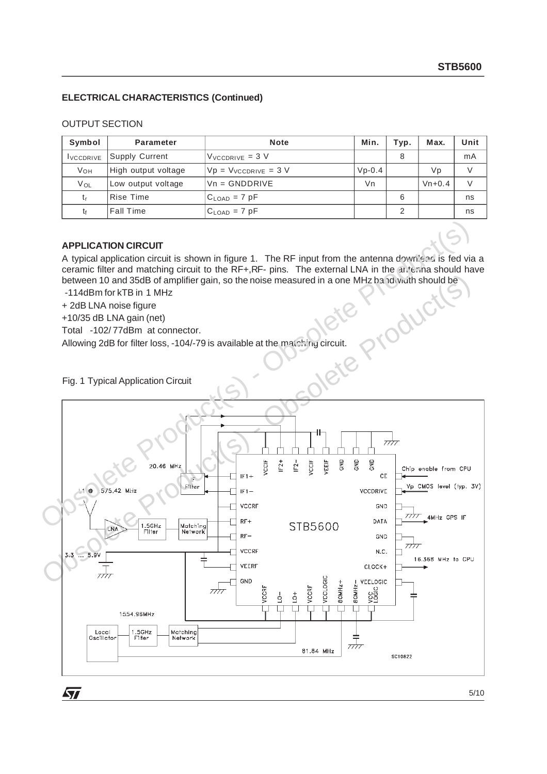## **ELECTRICAL CHARACTERISTICS (Continued)**

#### OUTPUT SECTION

| Symbol                                    | <b>Parameter</b>    | <b>Note</b>               | Min.     | Typ. | Max.     | Unit |
|-------------------------------------------|---------------------|---------------------------|----------|------|----------|------|
| Supply Current<br><i><b>LVCCDRIVE</b></i> |                     | $V_{VCCDRIVE} = 3 V$      |          | 8    |          | mA   |
| <b>V</b> <sub>OH</sub>                    | High output voltage | $Vp = V_{VCCDRIVE} = 3 V$ | $Vp-0.4$ |      | Vp       |      |
| $V_{OL}$                                  | Low output voltage  | $Vn = GNDDRIVE$           | Vn       |      | $Vn+0.4$ |      |
| t,                                        | Rise Time           | $C_{\text{LOAD}} = 7$ pF  |          | 6    |          | ns   |
|                                           | <b>Fall Time</b>    | $C_{LOAD}$ = 7 pF         |          | っ    |          | ns   |

#### **APPLICATION CIRCUIT**

A typical application circuit is shown in figure 1. The RF input from the antenna downlead is fed via a ceramic filter and matching circuit to the RF+,RF- pins. The external LNA in the antenna should have between 10 and 35dB of amplifier gain, so the noise measured in a one MHz bandwidth should be

-114dBm for kTB in 1 MHz

+ 2dB LNA noise figure

+10/35 dB LNA gain (net)

Total -102/ 77dBm at connector.

Allowing 2dB for filter loss, -104/-79 is available at the matching circuit.<br>Fig. 1 Typical Annlication Of the matching of the matching circuit.

Fig. 1 Typical Application Circuit



5/10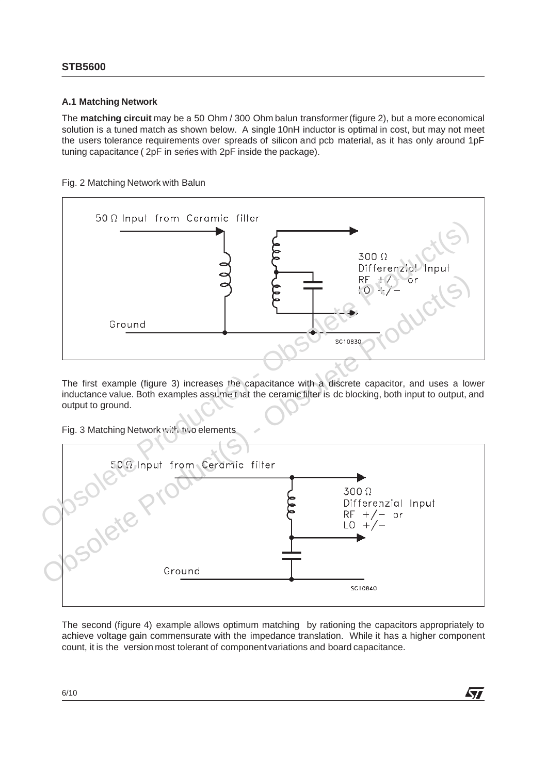## **STB5600**

## **A.1 Matching Network**

The **matching circuit** may be a 50 Ohm / 300 Ohm balun transformer (figure 2), but a more economical solution is a tuned match as shown below. A single 10nH inductor is optimal in cost, but may not meet the users tolerance requirements over spreads of silicon and pcb material, as it has only around 1pF tuning capacitance ( 2pF in series with 2pF inside the package).

## Fig. 2 Matching Network with Balun



The first example (figure 3) increases the capacitance with a discrete capacitor, and uses a lower inductance value. Both examples assume that the ceramic filter is dc blocking, both input to output, and output to ground.

Fig. 3 Matching Network with two elements



The second (figure 4) example allows optimum matching by rationing the capacitors appropriately to achieve voltage gain commensurate with the impedance translation. While it has a higher component count, it is the version most tolerant of componentvariations and board capacitance.

**ATT**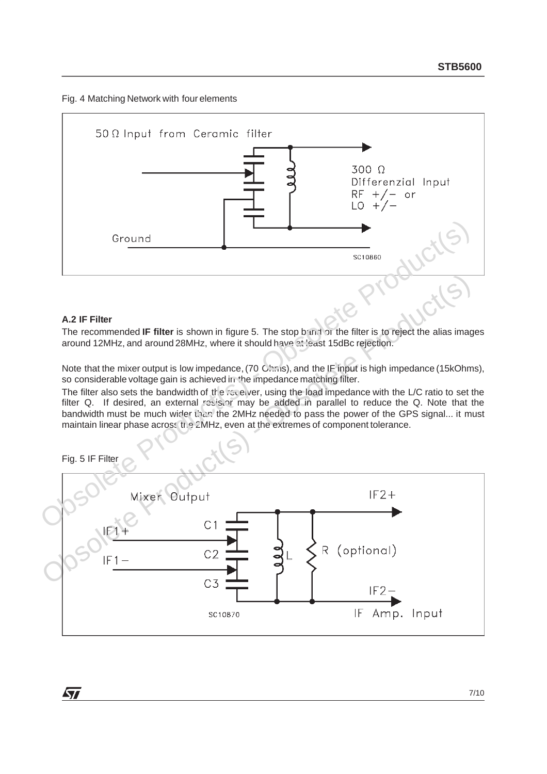Fig. 4 Matching Network with four elements



## **A.2 IF Filter**

The recommended IF filter is shown in figure 5. The stop band of the filter is to reject the alias images around 12MHz, and around 28MHz, where it should have at least 15dBc rejection.

Note that the mixer output is low impedance, (70 Ohms), and the IF input is high impedance (15kOhms), so considerable voltage gain is achieved in the impedance matching filter.

The filter also sets the bandwidth of the receiver, using the load impedance with the L/C ratio to set the filter Q. If desired, an external resistor may be added in parallel to reduce the Q. Note that the bandwidth must be much wider than the 2MHz needed to pass the power of the GPS signal... it must maintain linear phase across the 2MHz, even at the extremes of component tolerance.





**Syr**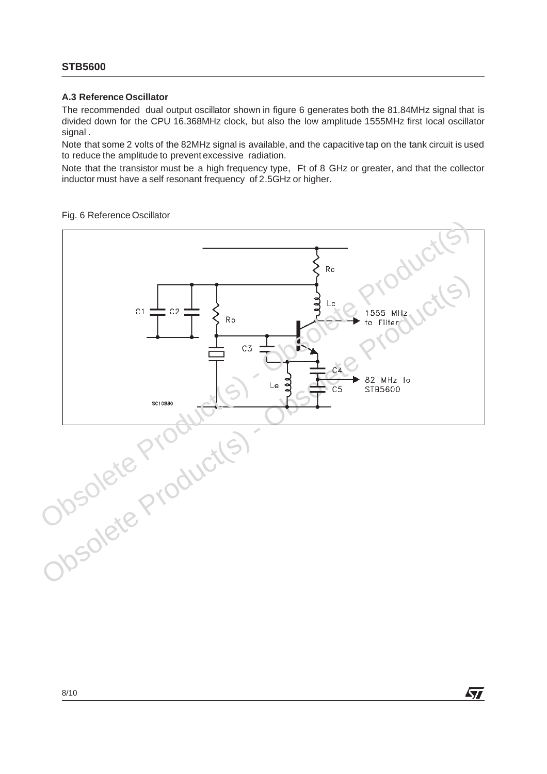#### **A.3 Reference Oscillator**

The recommended dual output oscillator shown in figure 6 generates both the 81.84MHz signal that is divided down for the CPU 16.368MHz clock, but also the low amplitude 1555MHz first local oscillator signal .

Note that some 2 volts of the 82MHz signal is available, and the capacitive tap on the tank circuit is used to reduce the amplitude to prevent excessive radiation.

Note that the transistor must be a high frequency type, Ft of 8 GHz or greater, and that the collector inductor must have a self resonant frequency of 2.5GHz or higher.

#### Fig. 6 Reference Oscillator



**ST**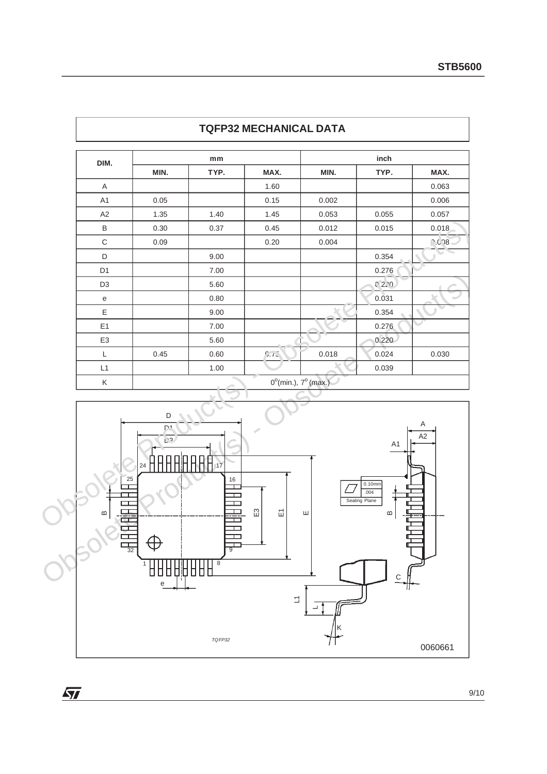| DIM.           |      | mm     |      |                                        | inch  |                |  |  |
|----------------|------|--------|------|----------------------------------------|-------|----------------|--|--|
|                | MIN. | TYP.   | MAX. | MIN.                                   | TYP.  | MAX.           |  |  |
| Α              |      |        | 1.60 |                                        |       | 0.063          |  |  |
| A <sub>1</sub> | 0.05 |        | 0.15 | 0.002                                  |       | 0.006          |  |  |
| A2             | 1.35 | 1.40   | 1.45 | 0.053                                  | 0.055 | 0.057          |  |  |
| B              | 0.30 | 0.37   | 0.45 | 0.012                                  | 0.015 | 0.018<br>0.678 |  |  |
| C              | 0.09 |        | 0.20 | 0.004                                  |       |                |  |  |
| D              |      | 9.00   |      |                                        | 0.354 |                |  |  |
| D <sub>1</sub> |      | 7.00   |      |                                        | 0.276 |                |  |  |
| D <sub>3</sub> |      | 5.60   |      |                                        | C220  |                |  |  |
| $\mathbf e$    |      | 0.80   |      |                                        | 0.031 |                |  |  |
| Ε              |      | 9.00   |      |                                        | 0.354 |                |  |  |
| E1             |      | 7.00   |      |                                        | 0.276 |                |  |  |
| E <sub>3</sub> |      | 5.60   |      |                                        | 0.220 |                |  |  |
| L              | 0.45 | 0.60   | 7.72 | 0.018                                  | 0.024 | 0.030          |  |  |
| L1             |      | 1.00   |      |                                        | 0.039 |                |  |  |
| Κ              |      | $\sim$ |      | $0^{\circ}$ (min.), $7^{\circ}$ (max.) |       |                |  |  |

## **TQFP32 MECHANICAL DATA**



 $\overline{M}$